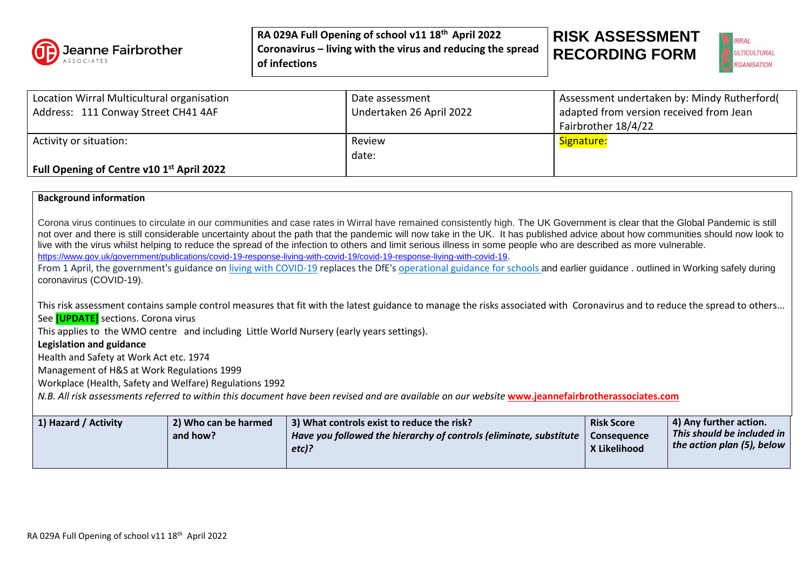

## **RISK ASSESSMENT RECORDING FORM**



| Location Wirral Multicultural organisation<br>Address: 111 Conway Street CH41 4AF | Date assessment<br>Undertaken 26 April 2022 | Assessment undertaken by: Mindy Rutherford(<br>adapted from version received from Jean<br>Fairbrother 18/4/22 |
|-----------------------------------------------------------------------------------|---------------------------------------------|---------------------------------------------------------------------------------------------------------------|
| Activity or situation:                                                            | Review<br>date:                             | Signature:                                                                                                    |
| Full Opening of Centre v10 1 <sup>st</sup> April 2022                             |                                             |                                                                                                               |

## **Background information**

Corona virus continues to circulate in our communities and case rates in Wirral have remained consistently high. The UK Government is clear that the Global Pandemic is still not over and there is still considerable uncertainty about the path that the pandemic will now take in the UK. It has published advice about how communities should now look to live with the virus whilst helping to reduce the spread of the infection to others and limit serious illness in some people who are described as more vulnerable. <https://www.gov.uk/government/publications/covid-19-response-living-with-covid-19/covid-19-response-living-with-covid-19>. From 1 April, the government's guidance on [living with COVID-19](https://www.gov.uk/government/publications/covid-19-response-living-with-covid-19) replaces the DfE's [operational guidance for schools](https://www.gov.uk/government/publications/actions-for-schools-during-the-coronavirus-outbreak) and earlier guidance . outlined in Working safely during coronavirus (COVID-19). This risk assessment contains sample control measures that fit with the latest guidance to manage the risks associated with Coronavirus and to reduce the spread to others... See **[UPDATE]** sections. Corona virus This applies to the WMO centre and including Little World Nursery (early years settings). **Legislation and guidance** Health and Safety at Work Act etc. 1974

Management of H&S at Work Regulations 1999

Workplace (Health, Safety and Welfare) Regulations 1992

*N.B. All risk assessments referred to within this document have been revised and are available on our website* **[www.jeannefairbrotherassociates.com](http://www.jeannefairbrotherassociates.com/)**

| 1) Hazard / Activity | [3] What controls exist to reduce the risk?                                | <b>Risk Score</b>  | 4) Any further action.     |
|----------------------|----------------------------------------------------------------------------|--------------------|----------------------------|
| 2) Who can be harmed | $\perp$ Have you followed the hierarchy of controls (eliminate, substitute | <b>Consequence</b> | This should be included in |
| and how?             | $etc$ )?                                                                   | X Likelihood       | the action plan (5), below |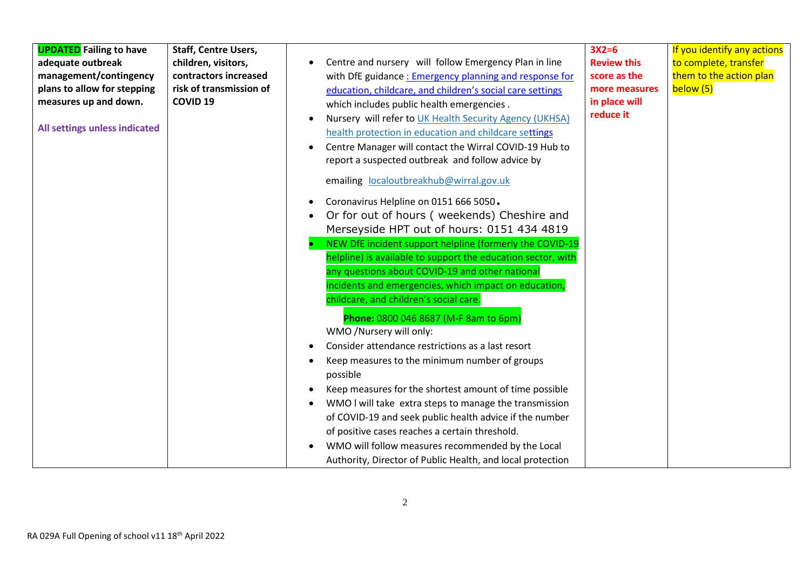| Or for out of hours ( weekends) Cheshire and<br>$\bullet$<br>Merseyside HPT out of hours: 0151 434 4819<br>NEW DfE incident support helpline (formerly the COVID-19<br>helpline) is available to support the education sector, with<br>any questions about COVID-19 and other national<br>incidents and emergencies, which impact on education,<br>childcare, and children's social care.<br>Phone: 0800 046 8687 (M-F 8am to 6pm)<br>WMO /Nursery will only:<br>Consider attendance restrictions as a last resort<br>Keep measures to the minimum number of groups<br>possible<br>Keep measures for the shortest amount of time possible<br>WMO I will take extra steps to manage the transmission<br>of COVID-19 and seek public health advice if the number<br>of positive cases reaches a certain threshold.<br>WMO will follow measures recommended by the Local<br>Authority, Director of Public Health, and local protection | <b>UPDATED</b> Failing to have<br>adequate outbreak<br>management/contingency<br>plans to allow for stepping<br>measures up and down.<br>All settings unless indicated | <b>Staff, Centre Users,</b><br>children, visitors,<br>contractors increased<br>risk of transmission of<br><b>COVID 19</b> | Centre and nursery will follow Emergency Plan in line<br>with DfE guidance: Emergency planning and response for<br>education, childcare, and children's social care settings<br>which includes public health emergencies.<br>Nursery will refer to UK Health Security Agency (UKHSA)<br>health protection in education and childcare settings<br>Centre Manager will contact the Wirral COVID-19 Hub to<br>report a suspected outbreak and follow advice by<br>emailing localoutbreakhub@wirral.gov.uk<br>Coronavirus Helpline on 0151 666 5050.<br>$\bullet$ | $3X2=6$<br><b>Review this</b><br>score as the<br>more measures<br>in place will<br>reduce it | If you identify any actions<br>to complete, transfer<br>them to the action plan<br>below (5) |
|-------------------------------------------------------------------------------------------------------------------------------------------------------------------------------------------------------------------------------------------------------------------------------------------------------------------------------------------------------------------------------------------------------------------------------------------------------------------------------------------------------------------------------------------------------------------------------------------------------------------------------------------------------------------------------------------------------------------------------------------------------------------------------------------------------------------------------------------------------------------------------------------------------------------------------------|------------------------------------------------------------------------------------------------------------------------------------------------------------------------|---------------------------------------------------------------------------------------------------------------------------|---------------------------------------------------------------------------------------------------------------------------------------------------------------------------------------------------------------------------------------------------------------------------------------------------------------------------------------------------------------------------------------------------------------------------------------------------------------------------------------------------------------------------------------------------------------|----------------------------------------------------------------------------------------------|----------------------------------------------------------------------------------------------|
|-------------------------------------------------------------------------------------------------------------------------------------------------------------------------------------------------------------------------------------------------------------------------------------------------------------------------------------------------------------------------------------------------------------------------------------------------------------------------------------------------------------------------------------------------------------------------------------------------------------------------------------------------------------------------------------------------------------------------------------------------------------------------------------------------------------------------------------------------------------------------------------------------------------------------------------|------------------------------------------------------------------------------------------------------------------------------------------------------------------------|---------------------------------------------------------------------------------------------------------------------------|---------------------------------------------------------------------------------------------------------------------------------------------------------------------------------------------------------------------------------------------------------------------------------------------------------------------------------------------------------------------------------------------------------------------------------------------------------------------------------------------------------------------------------------------------------------|----------------------------------------------------------------------------------------------|----------------------------------------------------------------------------------------------|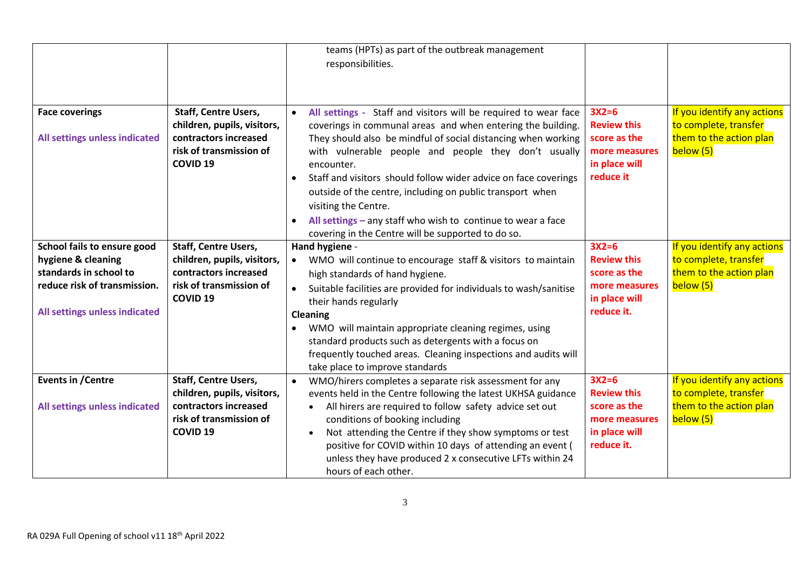|                                                                                                                                              |                                                                                                                                   | teams (HPTs) as part of the outbreak management<br>responsibilities.                                                                                                                                                                                                                                                                                                                                                                                                                                                                                               |                                                                                               |                                                                                              |
|----------------------------------------------------------------------------------------------------------------------------------------------|-----------------------------------------------------------------------------------------------------------------------------------|--------------------------------------------------------------------------------------------------------------------------------------------------------------------------------------------------------------------------------------------------------------------------------------------------------------------------------------------------------------------------------------------------------------------------------------------------------------------------------------------------------------------------------------------------------------------|-----------------------------------------------------------------------------------------------|----------------------------------------------------------------------------------------------|
| <b>Face coverings</b><br>All settings unless indicated                                                                                       | <b>Staff, Centre Users,</b><br>children, pupils, visitors,<br>contractors increased<br>risk of transmission of<br><b>COVID 19</b> | All settings - Staff and visitors will be required to wear face<br>coverings in communal areas and when entering the building.<br>They should also be mindful of social distancing when working<br>with vulnerable people and people they don't usually<br>encounter.<br>Staff and visitors should follow wider advice on face coverings<br>$\bullet$<br>outside of the centre, including on public transport when<br>visiting the Centre.<br>All settings $-$ any staff who wish to continue to wear a face<br>covering in the Centre will be supported to do so. | $3X2=6$<br><b>Review this</b><br>score as the<br>more measures<br>in place will<br>reduce it  | If you identify any actions<br>to complete, transfer<br>them to the action plan<br>below (5) |
| School fails to ensure good<br>hygiene & cleaning<br>standards in school to<br>reduce risk of transmission.<br>All settings unless indicated | <b>Staff, Centre Users,</b><br>children, pupils, visitors,<br>contractors increased<br>risk of transmission of<br><b>COVID 19</b> | Hand hygiene -<br>WMO will continue to encourage staff & visitors to maintain<br>$\bullet$<br>high standards of hand hygiene.<br>Suitable facilities are provided for individuals to wash/sanitise<br>$\bullet$<br>their hands regularly<br>Cleaning<br>WMO will maintain appropriate cleaning regimes, using<br>standard products such as detergents with a focus on<br>frequently touched areas. Cleaning inspections and audits will<br>take place to improve standards                                                                                         | $3X2=6$<br><b>Review this</b><br>score as the<br>more measures<br>in place will<br>reduce it. | If you identify any actions<br>to complete, transfer<br>them to the action plan<br>below (5) |
| <b>Events in /Centre</b><br>All settings unless indicated                                                                                    | <b>Staff, Centre Users,</b><br>children, pupils, visitors,<br>contractors increased<br>risk of transmission of<br><b>COVID 19</b> | WMO/hirers completes a separate risk assessment for any<br>events held in the Centre following the latest UKHSA guidance<br>All hirers are required to follow safety advice set out<br>$\bullet$<br>conditions of booking including<br>Not attending the Centre if they show symptoms or test<br>positive for COVID within 10 days of attending an event (<br>unless they have produced 2 x consecutive LFTs within 24<br>hours of each other.                                                                                                                     | $3X2=6$<br><b>Review this</b><br>score as the<br>more measures<br>in place will<br>reduce it. | If you identify any actions<br>to complete, transfer<br>them to the action plan<br>below (5) |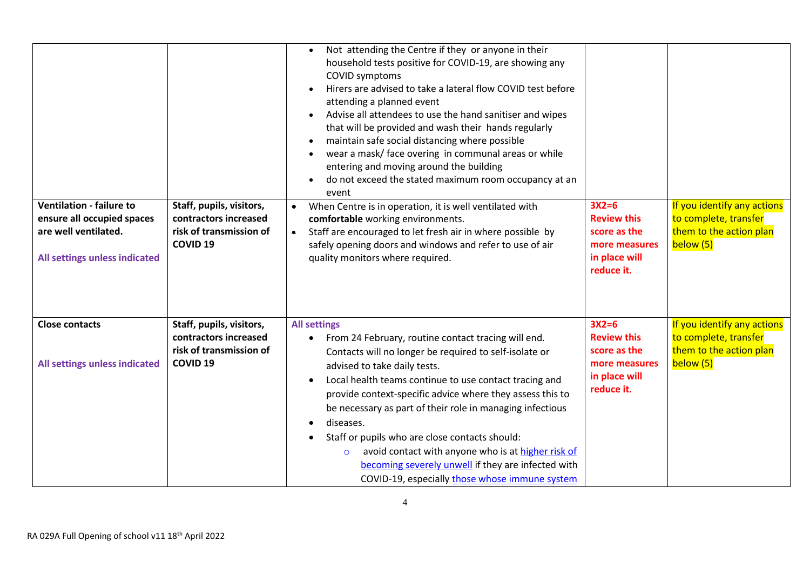| <b>Ventilation - failure to</b><br>ensure all occupied spaces<br>are well ventilated.<br>All settings unless indicated | Staff, pupils, visitors,<br>contractors increased<br>risk of transmission of<br><b>COVID 19</b> | Not attending the Centre if they or anyone in their<br>$\bullet$<br>household tests positive for COVID-19, are showing any<br>COVID symptoms<br>Hirers are advised to take a lateral flow COVID test before<br>attending a planned event<br>Advise all attendees to use the hand sanitiser and wipes<br>$\bullet$<br>that will be provided and wash their hands regularly<br>maintain safe social distancing where possible<br>$\bullet$<br>wear a mask/ face overing in communal areas or while<br>entering and moving around the building<br>do not exceed the stated maximum room occupancy at an<br>$\bullet$<br>event<br>When Centre is in operation, it is well ventilated with<br>comfortable working environments.<br>Staff are encouraged to let fresh air in where possible by<br>$\bullet$<br>safely opening doors and windows and refer to use of air<br>quality monitors where required. | $3X2=6$<br><b>Review this</b><br>score as the<br>more measures<br>in place will<br>reduce it. | If you identify any actions<br>to complete, transfer<br>them to the action plan<br>below (5) |
|------------------------------------------------------------------------------------------------------------------------|-------------------------------------------------------------------------------------------------|-------------------------------------------------------------------------------------------------------------------------------------------------------------------------------------------------------------------------------------------------------------------------------------------------------------------------------------------------------------------------------------------------------------------------------------------------------------------------------------------------------------------------------------------------------------------------------------------------------------------------------------------------------------------------------------------------------------------------------------------------------------------------------------------------------------------------------------------------------------------------------------------------------|-----------------------------------------------------------------------------------------------|----------------------------------------------------------------------------------------------|
| <b>Close contacts</b><br>All settings unless indicated                                                                 | Staff, pupils, visitors,<br>contractors increased<br>risk of transmission of<br><b>COVID 19</b> | <b>All settings</b><br>From 24 February, routine contact tracing will end.<br>$\bullet$<br>Contacts will no longer be required to self-isolate or<br>advised to take daily tests.<br>Local health teams continue to use contact tracing and<br>provide context-specific advice where they assess this to<br>be necessary as part of their role in managing infectious<br>diseases.<br>$\bullet$<br>Staff or pupils who are close contacts should:<br>$\bullet$<br>avoid contact with anyone who is at higher risk of<br>$\circ$<br>becoming severely unwell if they are infected with<br>COVID-19, especially those whose immune system                                                                                                                                                                                                                                                               | $3X2=6$<br><b>Review this</b><br>score as the<br>more measures<br>in place will<br>reduce it. | If you identify any actions<br>to complete, transfer<br>them to the action plan<br>below (5) |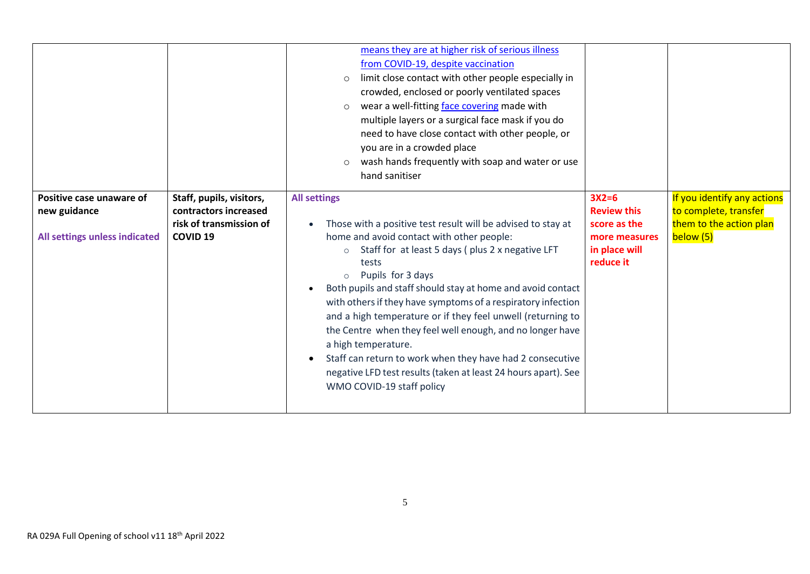|                                                                           |                                                                                                 | means they are at higher risk of serious illness<br>from COVID-19, despite vaccination<br>limit close contact with other people especially in<br>$\circ$<br>crowded, enclosed or poorly ventilated spaces<br>wear a well-fitting face covering made with<br>$\circ$<br>multiple layers or a surgical face mask if you do<br>need to have close contact with other people, or<br>you are in a crowded place<br>wash hands frequently with soap and water or use<br>$\circ$                                                                                                                                                                                                                                                     |                                                                                              |                                                                                              |
|---------------------------------------------------------------------------|-------------------------------------------------------------------------------------------------|-------------------------------------------------------------------------------------------------------------------------------------------------------------------------------------------------------------------------------------------------------------------------------------------------------------------------------------------------------------------------------------------------------------------------------------------------------------------------------------------------------------------------------------------------------------------------------------------------------------------------------------------------------------------------------------------------------------------------------|----------------------------------------------------------------------------------------------|----------------------------------------------------------------------------------------------|
|                                                                           |                                                                                                 | hand sanitiser                                                                                                                                                                                                                                                                                                                                                                                                                                                                                                                                                                                                                                                                                                                |                                                                                              |                                                                                              |
| Positive case unaware of<br>new guidance<br>All settings unless indicated | Staff, pupils, visitors,<br>contractors increased<br>risk of transmission of<br><b>COVID 19</b> | <b>All settings</b><br>Those with a positive test result will be advised to stay at<br>$\bullet$<br>home and avoid contact with other people:<br>Staff for at least 5 days (plus 2 x negative LFT<br>$\circ$<br>tests<br>Pupils for 3 days<br>$\circ$<br>Both pupils and staff should stay at home and avoid contact<br>$\bullet$<br>with others if they have symptoms of a respiratory infection<br>and a high temperature or if they feel unwell (returning to<br>the Centre when they feel well enough, and no longer have<br>a high temperature.<br>Staff can return to work when they have had 2 consecutive<br>$\bullet$<br>negative LFD test results (taken at least 24 hours apart). See<br>WMO COVID-19 staff policy | $3X2=6$<br><b>Review this</b><br>score as the<br>more measures<br>in place will<br>reduce it | If you identify any actions<br>to complete, transfer<br>them to the action plan<br>below (5) |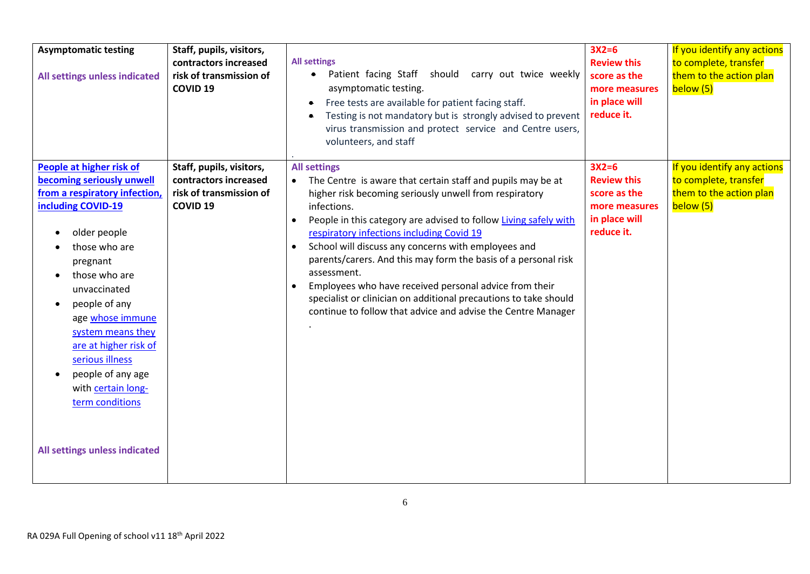| <b>Asymptomatic testing</b><br>All settings unless indicated                                                                                                                                                                                                                                                                                                                                                              | Staff, pupils, visitors,<br>contractors increased<br>risk of transmission of<br><b>COVID 19</b> | <b>All settings</b><br>Patient facing Staff should carry out twice weekly<br>$\bullet$<br>asymptomatic testing.<br>Free tests are available for patient facing staff.<br>$\bullet$<br>Testing is not mandatory but is strongly advised to prevent<br>virus transmission and protect service and Centre users,<br>volunteers, and staff                                                                                                                                                                                                                                                                                                                    | $3X2=6$<br><b>Review this</b><br>score as the<br>more measures<br>in place will<br>reduce it. | If you identify any actions<br>to complete, transfer<br>them to the action plan<br>below (5) |
|---------------------------------------------------------------------------------------------------------------------------------------------------------------------------------------------------------------------------------------------------------------------------------------------------------------------------------------------------------------------------------------------------------------------------|-------------------------------------------------------------------------------------------------|-----------------------------------------------------------------------------------------------------------------------------------------------------------------------------------------------------------------------------------------------------------------------------------------------------------------------------------------------------------------------------------------------------------------------------------------------------------------------------------------------------------------------------------------------------------------------------------------------------------------------------------------------------------|-----------------------------------------------------------------------------------------------|----------------------------------------------------------------------------------------------|
| People at higher risk of<br>becoming seriously unwell<br>from a respiratory infection,<br>including COVID-19<br>older people<br>those who are<br>pregnant<br>those who are<br>unvaccinated<br>people of any<br>$\bullet$<br>age whose immune<br>system means they<br>are at higher risk of<br>serious illness<br>people of any age<br>$\bullet$<br>with certain long-<br>term conditions<br>All settings unless indicated | Staff, pupils, visitors,<br>contractors increased<br>risk of transmission of<br><b>COVID 19</b> | <b>All settings</b><br>The Centre is aware that certain staff and pupils may be at<br>higher risk becoming seriously unwell from respiratory<br>infections.<br>People in this category are advised to follow Living safely with<br>$\bullet$<br>respiratory infections including Covid 19<br>School will discuss any concerns with employees and<br>$\bullet$<br>parents/carers. And this may form the basis of a personal risk<br>assessment.<br>Employees who have received personal advice from their<br>$\bullet$<br>specialist or clinician on additional precautions to take should<br>continue to follow that advice and advise the Centre Manager | $3X2=6$<br><b>Review this</b><br>score as the<br>more measures<br>in place will<br>reduce it. | If you identify any actions<br>to complete, transfer<br>them to the action plan<br>below (5) |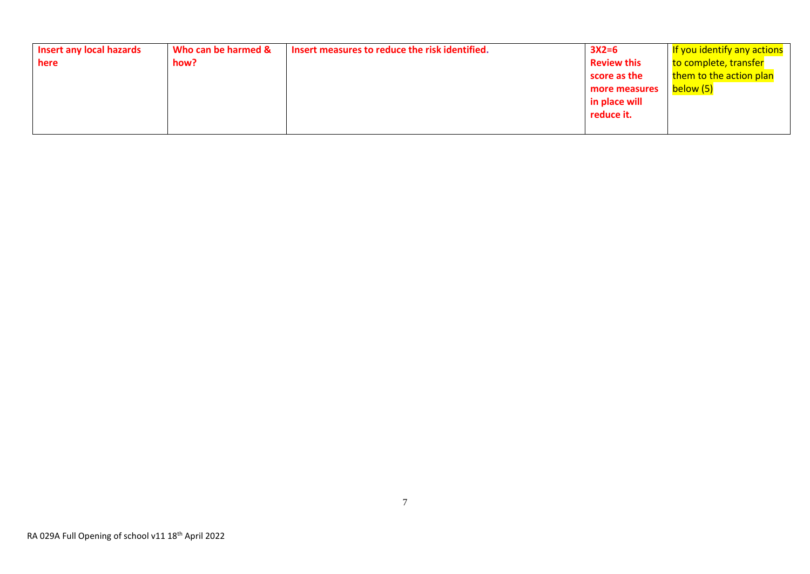| <b>Insert any local hazards</b> | Who can be harmed & | Insert measures to reduce the risk identified. | $3X2=6$            | If you identify any actions |
|---------------------------------|---------------------|------------------------------------------------|--------------------|-----------------------------|
| here                            | how?                |                                                | <b>Review this</b> | to complete, transfer       |
|                                 |                     |                                                | score as the       | them to the action plan     |
|                                 |                     |                                                | more measures      | below (5)                   |
|                                 |                     |                                                | in place will      |                             |
|                                 |                     |                                                | reduce it.         |                             |
|                                 |                     |                                                |                    |                             |